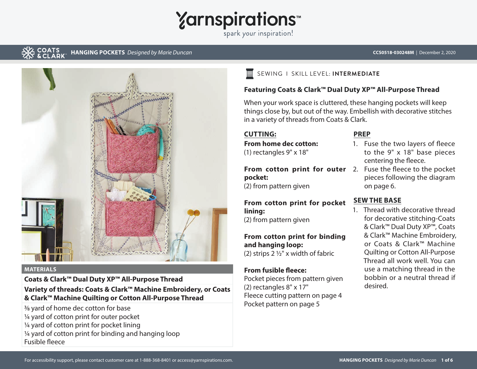

spark your inspiration!

#### COATS **HANGING POCKETS** *Designed by Marie Duncan* **CCS0518-030248M** | December 2, 2020



#### **MATERIALS**

**Coats & Clark™ Dual Duty XP™ All-Purpose Thread** 

# **Variety of threads: Coats & Clark™ Machine Embroidery, or Coats & Clark™ Machine Quilting or Cotton All-Purpose Thread**

3/8 yard of home dec cotton for base ¼ yard of cotton print for outer pocket ¼ yard of cotton print for pocket lining ¼ yard of cotton print for binding and hanging loop Fusible fleece

#### SEWING I SKILL LEVEL: **INTERMEDIATE** 昌

### **Featuring Coats & Clark™ Dual Duty XP™ All-Purpose Thread**

When your work space is cluttered, these hanging pockets will keep things close by, but out of the way. Embellish with decorative stitches in a variety of threads from Coats & Clark.

## **CUTTING:**

**From home dec cotton:** (1) rectangles 9" x 18"

From cotton print for outer 2. Fuse the fleece to the pocket **pocket:**

(2) from pattern given

# **From cotton print for pocket lining:**

(2) from pattern given

# **From cotton print for binding**

**and hanging loop:** (2) strips 2 ½" x width of fabric

#### **From fusible fleece:**

Pocket pieces from pattern given (2) rectangles 8" x 17" Fleece cutting pattern on page 4 Pocket pattern on page 5

#### **PREP**

- 1. Fuse the two layers of fleece to the 9" x 18" base pieces centering the fleece.
	- pieces following the diagram on page 6.

### **SEW THE BASE**

1. Thread with decorative thread for decorative stitching-Coats & Clark™ Dual Duty XP™, Coats & Clark™ Machine Embroidery, or Coats & Clark™ Machine Quilting or Cotton All-Purpose Thread all work well. You can use a matching thread in the bobbin or a neutral thread if desired.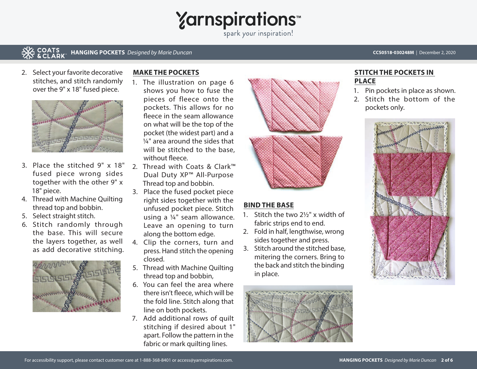

spark your inspiration!

#### **COATS<br>& CLARK HANGING POCKETS** Designed by Marie Duncan **CCS0518-030248M** | December 2, 2020

2. Select your favorite decorative stitches, and stitch randomly over the 9" x 18" fused piece.



- 3. Place the stitched 9" x 18" fused piece wrong sides together with the other 9" x 18" piece.
- 4. Thread with Machine Quilting thread top and bobbin.
- 5. Select straight stitch.
- 6. Stitch randomly through the base. This will secure the layers together, as well as add decorative stitching.



### **MAKE THE POCKETS**

- 1. The illustration on page 6 shows you how to fuse the pieces of fleece onto the pockets. This allows for no fleece in the seam allowance on what will be the top of the pocket (the widest part) and a ¼" area around the sides that will be stitched to the base, without fleece.
- 2. Thread with Coats & Clark™ Dual Duty XP™ All-Purpose Thread top and bobbin.
- 3. Place the fused pocket piece right sides together with the unfused pocket piece. Stitch using a ¼" seam allowance. Leave an opening to turn along the bottom edge.
- 4. Clip the corners, turn and press. Hand stitch the opening closed.
- 5. Thread with Machine Quilting thread top and bobbin,
- 6. You can feel the area where there isn't fleece, which will be the fold line. Stitch along that line on both pockets.
- 7. Add additional rows of quilt stitching if desired about 1" apart. Follow the pattern in the fabric or mark quilting lines.



# **BIND THE BASE**

- 1. Stitch the two 2½" x width of fabric strips end to end.
- 2. Fold in half, lengthwise, wrong sides together and press.
- 3. Stitch around the stitched base, mitering the corners. Bring to the back and stitch the binding in place.



## **STITCH THE POCKETS IN PLACE**

- 1. Pin pockets in place as shown.
- 2. Stitch the bottom of the pockets only.

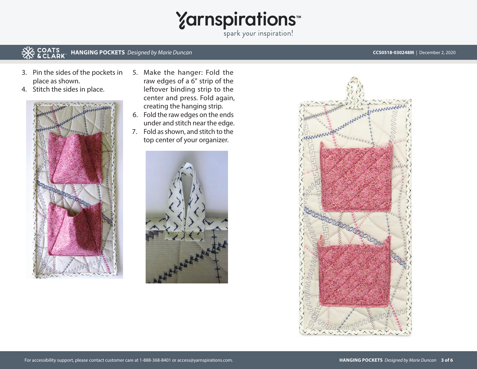# Yarnspirations<sup>\*\*</sup>

#### **COATS<br>& CLARK HANGING POCKETS** Designed by Marie Duncan **CCS0518-030248M** | December 2, 2020

- 3. Pin the sides of the pockets in place as shown.
- 4. Stitch the sides in place.



- 5. Make the hanger: Fold the raw edges of a 6" strip of the leftover binding strip to the center and press. Fold again, creating the hanging strip.
- 6. Fold the raw edges on the ends under and stitch near the edge.
- 7. Fold as shown, and stitch to the top center of your organizer.



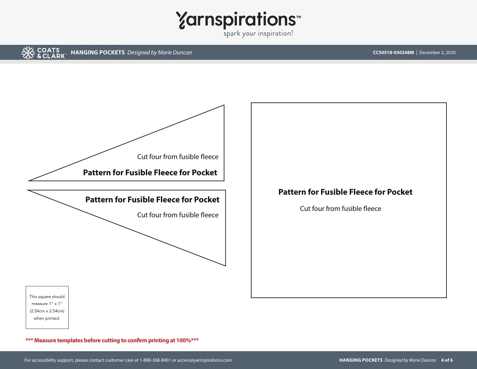





**\*\*\* Measure templates before cutting to confirm printing at 100%\*\*\*** 

Cut four from fusible fleece

**Pattern for Fusible Fleece for Pocket**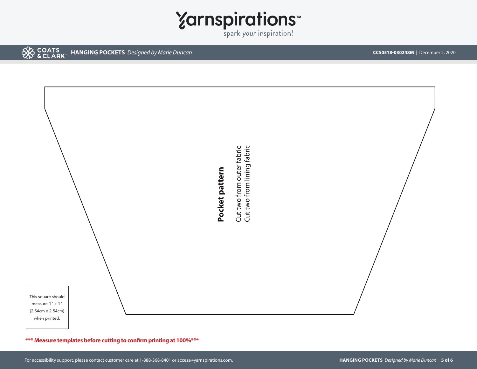

**EX COATS HANGING POCKETS** Designed by Marie Duncan **CCS0518-030248M** | December 2, 2020



**\*\*\* Measure templates before cutting to confirm printing at 100%\*\*\***